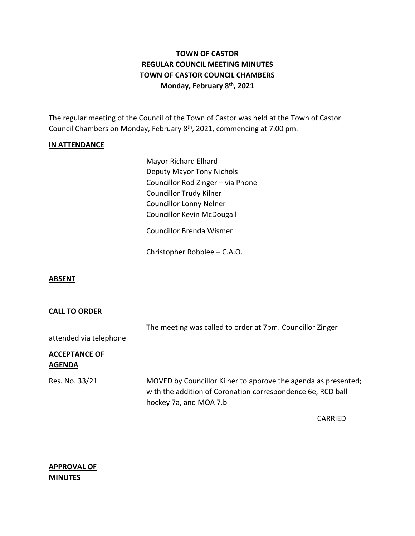# **TOWN OF CASTOR REGULAR COUNCIL MEETING MINUTES TOWN OF CASTOR COUNCIL CHAMBERS Monday, February 8th , 2021**

The regular meeting of the Council of the Town of Castor was held at the Town of Castor Council Chambers on Monday, February 8<sup>th</sup>, 2021, commencing at 7:00 pm.

### **IN ATTENDANCE**

Mayor Richard Elhard Deputy Mayor Tony Nichols Councillor Rod Zinger – via Phone Councillor Trudy Kilner Councillor Lonny Nelner Councillor Kevin McDougall

Councillor Brenda Wismer

Christopher Robblee – C.A.O.

#### **ABSENT**

#### **CALL TO ORDER**

| attended via telephone                | The meeting was called to order at 7pm. Councillor Zinger                                                                                               |
|---------------------------------------|---------------------------------------------------------------------------------------------------------------------------------------------------------|
| <b>ACCEPTANCE OF</b><br><b>AGENDA</b> |                                                                                                                                                         |
| Res. No. 33/21                        | MOVED by Councillor Kilner to approve the agenda as presented;<br>with the addition of Coronation correspondence 6e, RCD ball<br>hockey 7a, and MOA 7.b |

CARRIED

## **APPROVAL OF MINUTES**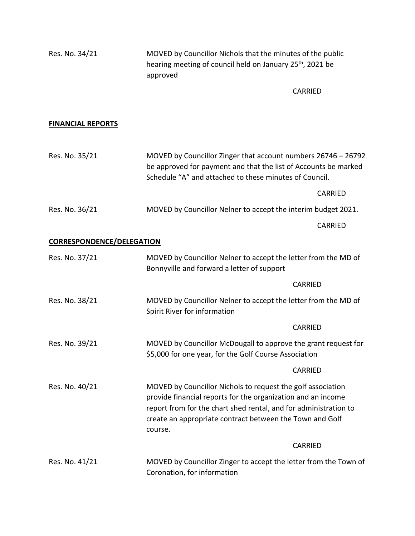| Res. No. 34/21                   | MOVED by Councillor Nichols that the minutes of the public<br>hearing meeting of council held on January 25 <sup>th</sup> , 2021 be<br>approved                                                                                                                        |                                                                                                                                                                                            |  |
|----------------------------------|------------------------------------------------------------------------------------------------------------------------------------------------------------------------------------------------------------------------------------------------------------------------|--------------------------------------------------------------------------------------------------------------------------------------------------------------------------------------------|--|
|                                  |                                                                                                                                                                                                                                                                        | <b>CARRIED</b>                                                                                                                                                                             |  |
|                                  |                                                                                                                                                                                                                                                                        |                                                                                                                                                                                            |  |
| <b>FINANCIAL REPORTS</b>         |                                                                                                                                                                                                                                                                        |                                                                                                                                                                                            |  |
| Res. No. 35/21                   |                                                                                                                                                                                                                                                                        | MOVED by Councillor Zinger that account numbers 26746 - 26792<br>be approved for payment and that the list of Accounts be marked<br>Schedule "A" and attached to these minutes of Council. |  |
|                                  |                                                                                                                                                                                                                                                                        | CARRIED                                                                                                                                                                                    |  |
| Res. No. 36/21                   | MOVED by Councillor Nelner to accept the interim budget 2021.                                                                                                                                                                                                          |                                                                                                                                                                                            |  |
|                                  |                                                                                                                                                                                                                                                                        | CARRIED                                                                                                                                                                                    |  |
| <b>CORRESPONDENCE/DELEGATION</b> |                                                                                                                                                                                                                                                                        |                                                                                                                                                                                            |  |
| Res. No. 37/21                   | MOVED by Councillor Nelner to accept the letter from the MD of<br>Bonnyville and forward a letter of support                                                                                                                                                           |                                                                                                                                                                                            |  |
|                                  |                                                                                                                                                                                                                                                                        | <b>CARRIED</b>                                                                                                                                                                             |  |
| Res. No. 38/21                   | MOVED by Councillor Nelner to accept the letter from the MD of<br>Spirit River for information                                                                                                                                                                         |                                                                                                                                                                                            |  |
|                                  |                                                                                                                                                                                                                                                                        | <b>CARRIED</b>                                                                                                                                                                             |  |
| Res. No. 39/21                   | MOVED by Councillor McDougall to approve the grant request for<br>\$5,000 for one year, for the Golf Course Association                                                                                                                                                |                                                                                                                                                                                            |  |
|                                  |                                                                                                                                                                                                                                                                        | <b>CARRIED</b>                                                                                                                                                                             |  |
| Res. No. 40/21                   | MOVED by Councillor Nichols to request the golf association<br>provide financial reports for the organization and an income<br>report from for the chart shed rental, and for administration to<br>create an appropriate contract between the Town and Golf<br>course. |                                                                                                                                                                                            |  |
|                                  |                                                                                                                                                                                                                                                                        | CARRIED                                                                                                                                                                                    |  |
| Res. No. 41/21                   | MOVED by Councillor Zinger to accept the letter from the Town of<br>Coronation, for information                                                                                                                                                                        |                                                                                                                                                                                            |  |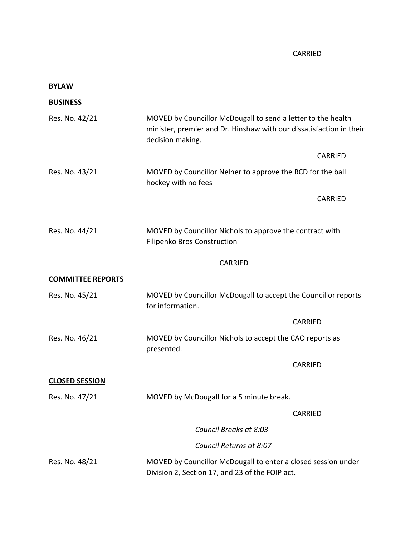## CARRIED

| <b>BYLAW</b>             |                                                                                                                                                         |                |
|--------------------------|---------------------------------------------------------------------------------------------------------------------------------------------------------|----------------|
| <b>BUSINESS</b>          |                                                                                                                                                         |                |
| Res. No. 42/21           | MOVED by Councillor McDougall to send a letter to the health<br>minister, premier and Dr. Hinshaw with our dissatisfaction in their<br>decision making. |                |
|                          |                                                                                                                                                         | <b>CARRIED</b> |
| Res. No. 43/21           | MOVED by Councillor Nelner to approve the RCD for the ball<br>hockey with no fees                                                                       |                |
|                          |                                                                                                                                                         | <b>CARRIED</b> |
| Res. No. 44/21           | MOVED by Councillor Nichols to approve the contract with<br>Filipenko Bros Construction                                                                 |                |
|                          | <b>CARRIED</b>                                                                                                                                          |                |
| <b>COMMITTEE REPORTS</b> |                                                                                                                                                         |                |
| Res. No. 45/21           | MOVED by Councillor McDougall to accept the Councillor reports<br>for information.                                                                      |                |
|                          | CARRIED                                                                                                                                                 |                |
| Res. No. 46/21           | MOVED by Councillor Nichols to accept the CAO reports as<br>presented.                                                                                  |                |
|                          | CARRIED                                                                                                                                                 |                |
| <b>CLOSED SESSION</b>    |                                                                                                                                                         |                |
| Res. No. 47/21           | MOVED by McDougall for a 5 minute break.                                                                                                                |                |
|                          | CARRIED                                                                                                                                                 |                |
|                          | Council Breaks at 8:03                                                                                                                                  |                |
|                          | Council Returns at 8:07                                                                                                                                 |                |
| Res. No. 48/21           | MOVED by Councillor McDougall to enter a closed session under<br>Division 2, Section 17, and 23 of the FOIP act.                                        |                |